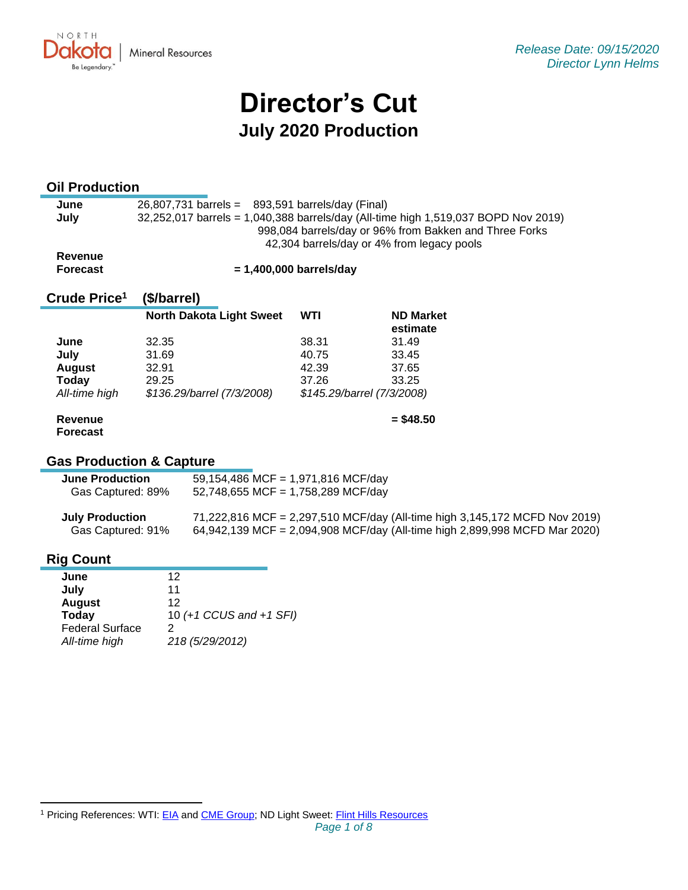**Mineral Resources** 

# **Director's Cut July 2020 Production**

#### **Oil Production**

NORTH UKV.

Be Legendary.

| June    | $26,807,731$ barrels = $893,591$ barrels/day (Final)                               |
|---------|------------------------------------------------------------------------------------|
|         |                                                                                    |
| July    | 32,252,017 barrels = 1,040,388 barrels/day (All-time high 1,519,037 BOPD Nov 2019) |
|         | 998,084 barrels/day or 96% from Bakken and Three Forks                             |
|         | 42,304 barrels/day or 4% from legacy pools                                         |
| Revenue |                                                                                    |

**Forecast**

 **= 1,400,000 barrels/day**

#### **Crude Price 1 (\$/barrel)**

|               | <b>North Dakota Light Sweet</b> | <b>WTI</b> | <b>ND Market</b><br>estimate |
|---------------|---------------------------------|------------|------------------------------|
| June          | 32.35                           | 38.31      | 31.49                        |
| July          | 31.69                           | 40.75      | 33.45                        |
| <b>August</b> | 32.91                           | 42.39      | 37.65                        |
| Today         | 29.25                           | 37.26      | 33.25                        |
| All-time high | \$136.29/barrel (7/3/2008)      |            | \$145.29/barrel (7/3/2008)   |

## **Revenue**

**= \$48.50**

### **Forecast**

### **Gas Production & Capture**

| <b>June Production</b> | 59,154,486 MCF = 1,971,816 MCF/day |
|------------------------|------------------------------------|
| Gas Captured: 89%      | 52,748,655 MCF = 1,758,289 MCF/day |

| <b>July Production</b> | 71,222,816 MCF = 2,297,510 MCF/day (All-time high 3,145,172 MCFD Nov 2019) |
|------------------------|----------------------------------------------------------------------------|
| Gas Captured: 91%      | 64,942,139 MCF = 2,094,908 MCF/day (All-time high 2,899,998 MCFD Mar 2020) |

#### **Rig Count**

| June                   | 12                      |
|------------------------|-------------------------|
| July                   | 11                      |
| <b>August</b>          | 12                      |
| <b>Today</b>           | 10 (+1 CCUS and +1 SFI) |
| <b>Federal Surface</b> | 2                       |
| All-time high          | 218 (5/29/2012)         |
|                        |                         |

<sup>&</sup>lt;sup>1</sup> Pricing References: WTI: [EIA](https://www.eia.gov/dnav/pet/hist/LeafHandler.ashx?n=PET&s=RCLC1&f=M) and [CME Group;](https://www.cmegroup.com/trading/energy/crude-oil/light-sweet-crude.html) ND Light Sweet: [Flint Hills Resources](https://www.fhr.com/products-services/fuels-and-aromatics)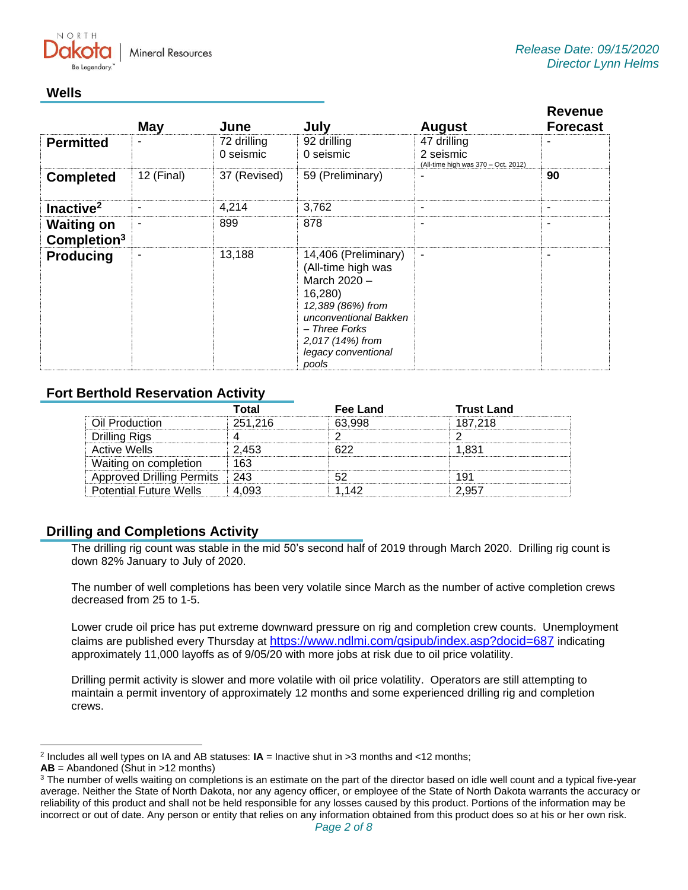NORTH

#### **Wells**

|                                              | <b>May</b> | June                     | July                                                                                                                                                                                     | <b>August</b>                                                   | <b>Revenue</b><br><b>Forecast</b> |
|----------------------------------------------|------------|--------------------------|------------------------------------------------------------------------------------------------------------------------------------------------------------------------------------------|-----------------------------------------------------------------|-----------------------------------|
| <b>Permitted</b>                             | ۰          | 72 drilling<br>0 seismic | 92 drilling<br>0 seismic                                                                                                                                                                 | 47 drilling<br>2 seismic<br>(All-time high was 370 - Oct. 2012) | ۰                                 |
| <b>Completed</b>                             | 12 (Final) | 37 (Revised)             | 59 (Preliminary)                                                                                                                                                                         |                                                                 | 90                                |
| Inactive <sup>2</sup>                        | -          | 4,214                    | 3,762                                                                                                                                                                                    | $\overline{\phantom{a}}$                                        | $\overline{\phantom{a}}$          |
| <b>Waiting on</b><br>Completion <sup>3</sup> | ۰          | 899                      | 878                                                                                                                                                                                      | ۰                                                               | $\overline{\phantom{a}}$          |
| <b>Producing</b>                             | ٠          | 13,188                   | 14,406 (Preliminary)<br>(All-time high was<br>March 2020 -<br>16,280)<br>12,389 (86%) from<br>unconventional Bakken<br>- Three Forks<br>2,017 (14%) from<br>legacy conventional<br>pools | $\blacksquare$                                                  |                                   |

#### **Fort Berthold Reservation Activity**

|                                  | Total   | Fee Land | <b>Trust Land</b> |
|----------------------------------|---------|----------|-------------------|
| Oil Production                   | 251.216 | 63.998   | 187.218           |
| Drilling Rigs                    |         |          |                   |
| Active Wells                     | 2.453   |          | 1 831             |
| Waiting on completion            | 163     |          |                   |
| <b>Approved Drilling Permits</b> | 1243    |          | 191               |
| <b>Potential Future Wells</b>    |         | 1.142    |                   |

#### **Drilling and Completions Activity**

The drilling rig count was stable in the mid 50's second half of 2019 through March 2020. Drilling rig count is down 82% January to July of 2020.

The number of well completions has been very volatile since March as the number of active completion crews decreased from 25 to 1-5.

Lower crude oil price has put extreme downward pressure on rig and completion crew counts. Unemployment claims are published every Thursday at [https://www.ndlmi.com/gsipub/index.asp?docid=687](https://gcc02.safelinks.protection.outlook.com/?url=https%3A%2F%2Fwww.ndlmi.com%2Fgsipub%2Findex.asp%3Fdocid%3D687&data=02%7C01%7Ckahaarsager%40nd.gov%7C87b7e18408bc47c3a9c008d85986e4d7%7C2dea0464da514a88bae2b3db94bc0c54%7C0%7C0%7C637357783185051252&sdata=WGDKnt%2BOEt1ZTHqREy%2BQwMWRb9CUvhzOMTuzHs3vaSQ%3D&reserved=0) indicating approximately 11,000 layoffs as of 9/05/20 with more jobs at risk due to oil price volatility.

Drilling permit activity is slower and more volatile with oil price volatility. Operators are still attempting to maintain a permit inventory of approximately 12 months and some experienced drilling rig and completion crews.

<sup>2</sup> Includes all well types on IA and AB statuses: **IA** = Inactive shut in >3 months and <12 months;

**AB** = Abandoned (Shut in >12 months)

<sup>&</sup>lt;sup>3</sup> The number of wells waiting on completions is an estimate on the part of the director based on idle well count and a typical five-year average. Neither the State of North Dakota, nor any agency officer, or employee of the State of North Dakota warrants the accuracy or reliability of this product and shall not be held responsible for any losses caused by this product. Portions of the information may be incorrect or out of date. Any person or entity that relies on any information obtained from this product does so at his or her own risk.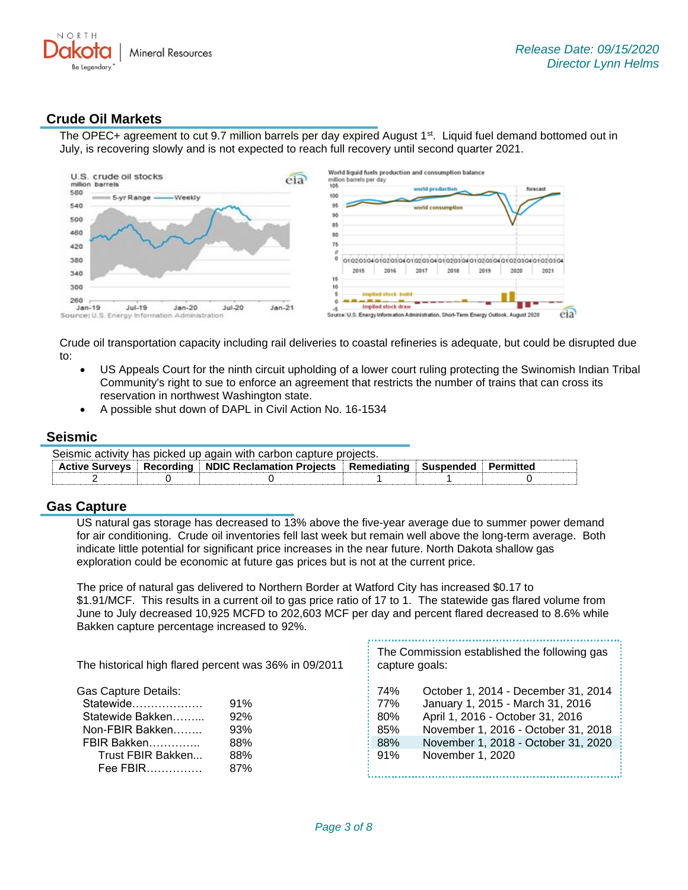

#### **Crude Oil Markets**

The OPEC+ agreement to cut 9.7 million barrels per day expired August 1<sup>st</sup>. Liquid fuel demand bottomed out in July, is recovering slowly and is not expected to reach full recovery until second quarter 2021.



Crude oil transportation capacity including rail deliveries to coastal refineries is adequate, but could be disrupted due to:

- US Appeals Court for the ninth circuit upholding of a lower court ruling protecting the Swinomish Indian Tribal Community's right to sue to enforce an agreement that restricts the number of trains that can cross its reservation in northwest Washington state.
- A possible shut down of DAPL in Civil Action No. 16-1534

#### **Seismic**

|                                                                                              | Seismic activity has picked up again with carbon capture projects. |  |  |  |  |  |
|----------------------------------------------------------------------------------------------|--------------------------------------------------------------------|--|--|--|--|--|
| Active Surveys   Recording   NDIC Reclamation Projects   Remediating   Suspended   Permitted |                                                                    |  |  |  |  |  |
|                                                                                              |                                                                    |  |  |  |  |  |

#### **Gas Capture**

US natural gas storage has decreased to 13% above the five-year average due to summer power demand for air conditioning. Crude oil inventories fell last week but remain well above the long-term average. Both indicate little potential for significant price increases in the near future. North Dakota shallow gas exploration could be economic at future gas prices but is not at the current price.

The price of natural gas delivered to Northern Border at Watford City has increased \$0.17 to \$1.91/MCF. This results in a current oil to gas price ratio of 17 to 1. The statewide gas flared volume from June to July decreased 10,925 MCFD to 202,603 MCF per day and percent flared decreased to 8.6% while Bakken capture percentage increased to 92%.

| The historical high flared percent was 36% in 09/2011 |     | The Commission established the following gas<br>capture goals: |                                     |  |
|-------------------------------------------------------|-----|----------------------------------------------------------------|-------------------------------------|--|
| <b>Gas Capture Details:</b>                           |     | 74%                                                            | October 1, 2014 - December 31, 2014 |  |
| Statewide                                             | 91% | 77%                                                            | January 1, 2015 - March 31, 2016    |  |
| Statewide Bakken                                      | 92% | 80%                                                            | April 1, 2016 - October 31, 2016    |  |
| Non-FBIR Bakken                                       | 93% | 85%                                                            | November 1, 2016 - October 31, 2018 |  |
| FBIR Bakken                                           | 88% | 88%                                                            | November 1, 2018 - October 31, 2020 |  |
| Trust FBIR Bakken                                     | 88% | 91%                                                            | November 1, 2020                    |  |
| Fee FBIR                                              | 87% |                                                                |                                     |  |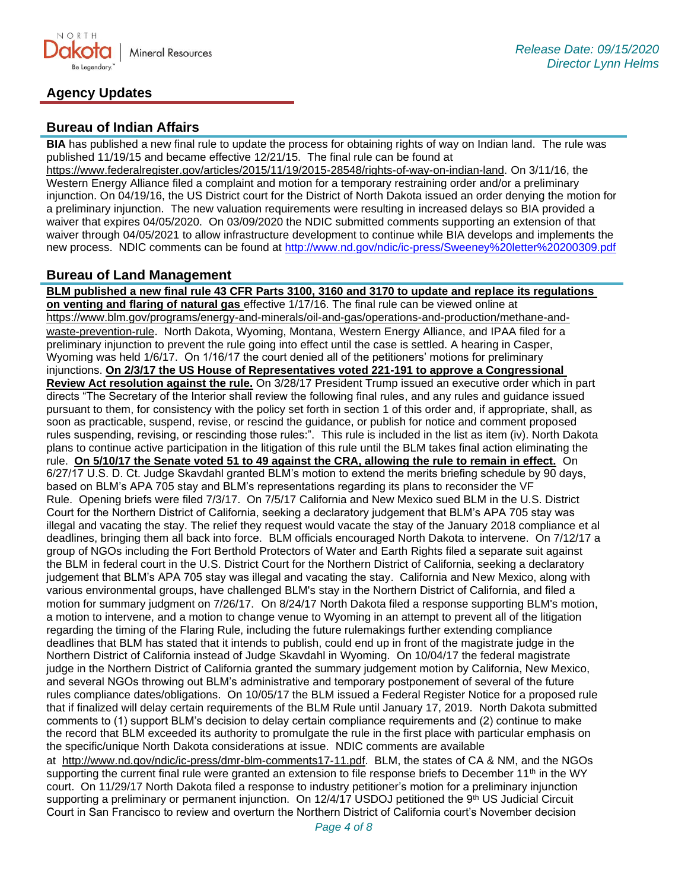

#### **Agency Updates**

#### **Bureau of Indian Affairs**

**BIA** has published a new final rule to update the process for obtaining rights of way on Indian land. The rule was published 11/19/15 and became effective 12/21/15. The final rule can be found at

[https://www.federalregister.gov/articles/2015/11/19/2015-28548/rights-of-way-on-indian-land.](https://www.federalregister.gov/articles/2015/11/19/2015-28548/rights-of-way-on-indian-land) On 3/11/16, the Western Energy Alliance filed a complaint and motion for a temporary restraining order and/or a preliminary injunction. On 04/19/16, the US District court for the District of North Dakota issued an order denying the motion for a preliminary injunction. The new valuation requirements were resulting in increased delays so BIA provided a waiver that expires 04/05/2020. On 03/09/2020 the NDIC submitted comments supporting an extension of that waiver through 04/05/2021 to allow infrastructure development to continue while BIA develops and implements the new process. NDIC comments can be found at<http://www.nd.gov/ndic/ic-press/Sweeney%20letter%20200309.pdf>

#### **Bureau of Land Management**

**BLM published a new final rule 43 CFR Parts 3100, 3160 and 3170 to update and replace its regulations on venting and flaring of natural gas** effective 1/17/16. The final rule can be viewed online at [https://www.blm.gov/programs/energy-and-minerals/oil-and-gas/operations-and-production/methane-and](https://gcc02.safelinks.protection.outlook.com/?url=https%3A%2F%2Fwww.blm.gov%2Fprograms%2Fenergy-and-minerals%2Foil-and-gas%2Foperations-and-production%2Fmethane-and-waste-prevention-rule&data=02%7C01%7Ckahaarsager%40nd.gov%7C87b7e18408bc47c3a9c008d85986e4d7%7C2dea0464da514a88bae2b3db94bc0c54%7C0%7C0%7C637357783185061208&sdata=PQ3rtlCgJ%2BVi7Pdx7db77fDR2R9XCnro0oxaZzg7jNs%3D&reserved=0)[waste-prevention-rule](https://gcc02.safelinks.protection.outlook.com/?url=https%3A%2F%2Fwww.blm.gov%2Fprograms%2Fenergy-and-minerals%2Foil-and-gas%2Foperations-and-production%2Fmethane-and-waste-prevention-rule&data=02%7C01%7Ckahaarsager%40nd.gov%7C87b7e18408bc47c3a9c008d85986e4d7%7C2dea0464da514a88bae2b3db94bc0c54%7C0%7C0%7C637357783185061208&sdata=PQ3rtlCgJ%2BVi7Pdx7db77fDR2R9XCnro0oxaZzg7jNs%3D&reserved=0). North Dakota, Wyoming, Montana, Western Energy Alliance, and IPAA filed for a preliminary injunction to prevent the rule going into effect until the case is settled. A hearing in Casper, Wyoming was held 1/6/17. On 1/16/17 the court denied all of the petitioners' motions for preliminary injunctions. **On 2/3/17 the US House of Representatives voted 221-191 to approve a Congressional Review Act resolution against the rule.** On 3/28/17 President Trump issued an executive order which in part directs "The Secretary of the Interior shall review the following final rules, and any rules and guidance issued pursuant to them, for consistency with the policy set forth in section 1 of this order and, if appropriate, shall, as soon as practicable, suspend, revise, or rescind the guidance, or publish for notice and comment proposed rules suspending, revising, or rescinding those rules:". This rule is included in the list as item (iv). North Dakota plans to continue active participation in the litigation of this rule until the BLM takes final action eliminating the rule. **On 5/10/17 the Senate voted 51 to 49 against the CRA, allowing the rule to remain in effect.** On 6/27/17 U.S. D. Ct. Judge Skavdahl granted BLM's motion to extend the merits briefing schedule by 90 days, based on BLM's APA 705 stay and BLM's representations regarding its plans to reconsider the VF Rule. Opening briefs were filed 7/3/17. On 7/5/17 California and New Mexico sued BLM in the U.S. District Court for the Northern District of California, seeking a declaratory judgement that BLM's APA 705 stay was illegal and vacating the stay. The relief they request would vacate the stay of the January 2018 compliance et al deadlines, bringing them all back into force. BLM officials encouraged North Dakota to intervene. On 7/12/17 a group of NGOs including the Fort Berthold Protectors of Water and Earth Rights filed a separate suit against the BLM in federal court in the U.S. District Court for the Northern District of California, seeking a declaratory judgement that BLM's APA 705 stay was illegal and vacating the stay. California and New Mexico, along with various environmental groups, have challenged BLM's stay in the Northern District of California, and filed a motion for summary judgment on 7/26/17. On 8/24/17 North Dakota filed a response supporting BLM's motion, a motion to intervene, and a motion to change venue to Wyoming in an attempt to prevent all of the litigation regarding the timing of the Flaring Rule, including the future rulemakings further extending compliance deadlines that BLM has stated that it intends to publish, could end up in front of the magistrate judge in the Northern District of California instead of Judge Skavdahl in Wyoming. On 10/04/17 the federal magistrate judge in the Northern District of California granted the summary judgement motion by California, New Mexico, and several NGOs throwing out BLM's administrative and temporary postponement of several of the future rules compliance dates/obligations. On 10/05/17 the BLM issued a Federal Register Notice for a proposed rule that if finalized will delay certain requirements of the BLM Rule until January 17, 2019. North Dakota submitted comments to (1) support BLM's decision to delay certain compliance requirements and (2) continue to make the record that BLM exceeded its authority to promulgate the rule in the first place with particular emphasis on the specific/unique North Dakota considerations at issue. NDIC comments are available at [http://www.nd.gov/ndic/ic-press/dmr-blm-comments17-11.pdf.](http://www.nd.gov/ndic/ic-press/dmr-blm-comments17-11.pdf) BLM, the states of CA & NM, and the NGOs supporting the current final rule were granted an extension to file response briefs to December 11<sup>th</sup> in the WY

court. On 11/29/17 North Dakota filed a response to industry petitioner's motion for a preliminary injunction supporting a preliminary or permanent injunction. On 12/4/17 USDOJ petitioned the 9th US Judicial Circuit Court in San Francisco to review and overturn the Northern District of California court's November decision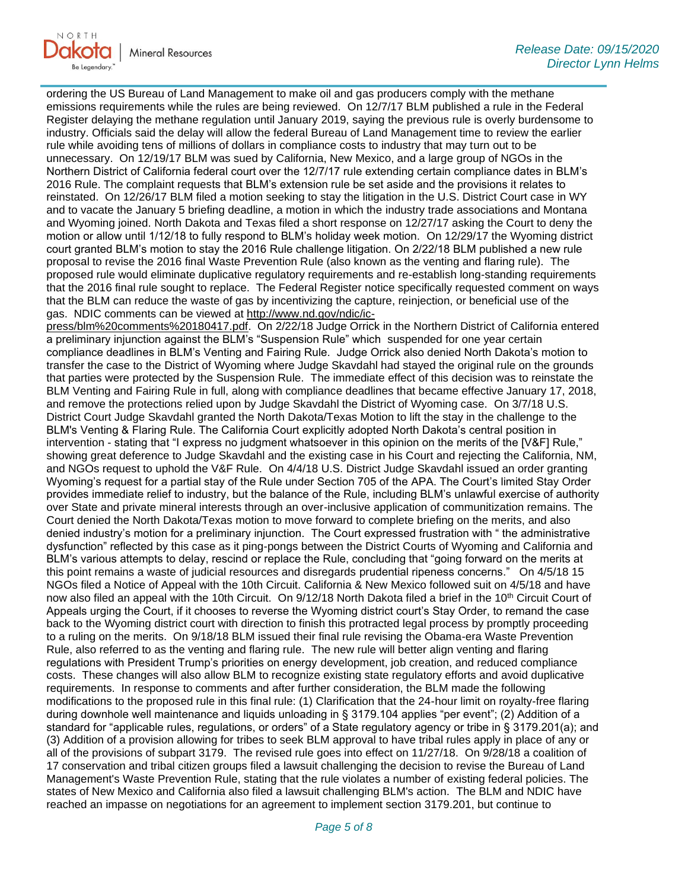

ordering the US Bureau of Land Management to make oil and gas producers comply with the methane emissions requirements while the rules are being reviewed. On 12/7/17 BLM published a rule in the Federal Register delaying the methane regulation until January 2019, saying the previous rule is overly burdensome to industry. Officials said the delay will allow the federal Bureau of Land Management time to review the earlier rule while avoiding tens of millions of dollars in compliance costs to industry that may turn out to be unnecessary. On 12/19/17 BLM was sued by California, New Mexico, and a large group of NGOs in the Northern District of California federal court over the 12/7/17 rule extending certain compliance dates in BLM's 2016 Rule. The complaint requests that BLM's extension rule be set aside and the provisions it relates to reinstated. On 12/26/17 BLM filed a motion seeking to stay the litigation in the U.S. District Court case in WY and to vacate the January 5 briefing deadline, a motion in which the industry trade associations and Montana and Wyoming joined. North Dakota and Texas filed a short response on 12/27/17 asking the Court to deny the motion or allow until 1/12/18 to fully respond to BLM's holiday week motion. On 12/29/17 the Wyoming district court granted BLM's motion to stay the 2016 Rule challenge litigation. On 2/22/18 BLM published a new rule proposal to revise the 2016 final Waste Prevention Rule (also known as the venting and flaring rule). The proposed rule would eliminate duplicative regulatory requirements and re-establish long-standing requirements that the 2016 final rule sought to replace. The Federal Register notice specifically requested comment on ways that the BLM can reduce the waste of gas by incentivizing the capture, reinjection, or beneficial use of the gas. NDIC comments can be viewed at [http://www.nd.gov/ndic/ic-](http://www.nd.gov/ndic/ic-press/blm%20comments%20180417.pdf)

[press/blm%20comments%20180417.pdf.](http://www.nd.gov/ndic/ic-press/blm%20comments%20180417.pdf) On 2/22/18 Judge Orrick in the Northern District of California entered a preliminary injunction against the BLM's "Suspension Rule" which suspended for one year certain compliance deadlines in BLM's Venting and Fairing Rule. Judge Orrick also denied North Dakota's motion to transfer the case to the District of Wyoming where Judge Skavdahl had stayed the original rule on the grounds that parties were protected by the Suspension Rule. The immediate effect of this decision was to reinstate the BLM Venting and Fairing Rule in full, along with compliance deadlines that became effective January 17, 2018, and remove the protections relied upon by Judge Skavdahl the District of Wyoming case. On 3/7/18 U.S. District Court Judge Skavdahl granted the North Dakota/Texas Motion to lift the stay in the challenge to the BLM's Venting & Flaring Rule. The California Court explicitly adopted North Dakota's central position in intervention - stating that "I express no judgment whatsoever in this opinion on the merits of the [V&F] Rule," showing great deference to Judge Skavdahl and the existing case in his Court and rejecting the California, NM, and NGOs request to uphold the V&F Rule. On 4/4/18 U.S. District Judge Skavdahl issued an order granting Wyoming's request for a partial stay of the Rule under Section 705 of the APA. The Court's limited Stay Order provides immediate relief to industry, but the balance of the Rule, including BLM's unlawful exercise of authority over State and private mineral interests through an over-inclusive application of communitization remains. The Court denied the North Dakota/Texas motion to move forward to complete briefing on the merits, and also denied industry's motion for a preliminary injunction. The Court expressed frustration with " the administrative dysfunction" reflected by this case as it ping-pongs between the District Courts of Wyoming and California and BLM's various attempts to delay, rescind or replace the Rule, concluding that "going forward on the merits at this point remains a waste of judicial resources and disregards prudential ripeness concerns." On 4/5/18 15 NGOs filed a Notice of Appeal with the 10th Circuit. California & New Mexico followed suit on 4/5/18 and have now also filed an appeal with the 10th Circuit. On 9/12/18 North Dakota filed a brief in the 10<sup>th</sup> Circuit Court of Appeals urging the Court, if it chooses to reverse the Wyoming district court's Stay Order, to remand the case back to the Wyoming district court with direction to finish this protracted legal process by promptly proceeding to a ruling on the merits. On 9/18/18 BLM issued their final rule revising the Obama-era Waste Prevention Rule, also referred to as the venting and flaring rule. The new rule will better align venting and flaring regulations with President Trump's priorities on energy development, job creation, and reduced compliance costs. These changes will also allow BLM to recognize existing state regulatory efforts and avoid duplicative requirements. In response to comments and after further consideration, the BLM made the following modifications to the proposed rule in this final rule: (1) Clarification that the 24-hour limit on royalty-free flaring during downhole well maintenance and liquids unloading in § 3179.104 applies "per event"; (2) Addition of a standard for "applicable rules, regulations, or orders" of a State regulatory agency or tribe in § 3179.201(a); and (3) Addition of a provision allowing for tribes to seek BLM approval to have tribal rules apply in place of any or all of the provisions of subpart 3179. The revised rule goes into effect on 11/27/18. On 9/28/18 a coalition of 17 conservation and tribal citizen groups filed a lawsuit challenging the decision to revise the Bureau of Land Management's Waste Prevention Rule, stating that the rule violates a number of existing federal policies. The states of New Mexico and California also filed a lawsuit challenging BLM's action. The BLM and NDIC have reached an impasse on negotiations for an agreement to implement section 3179.201, but continue to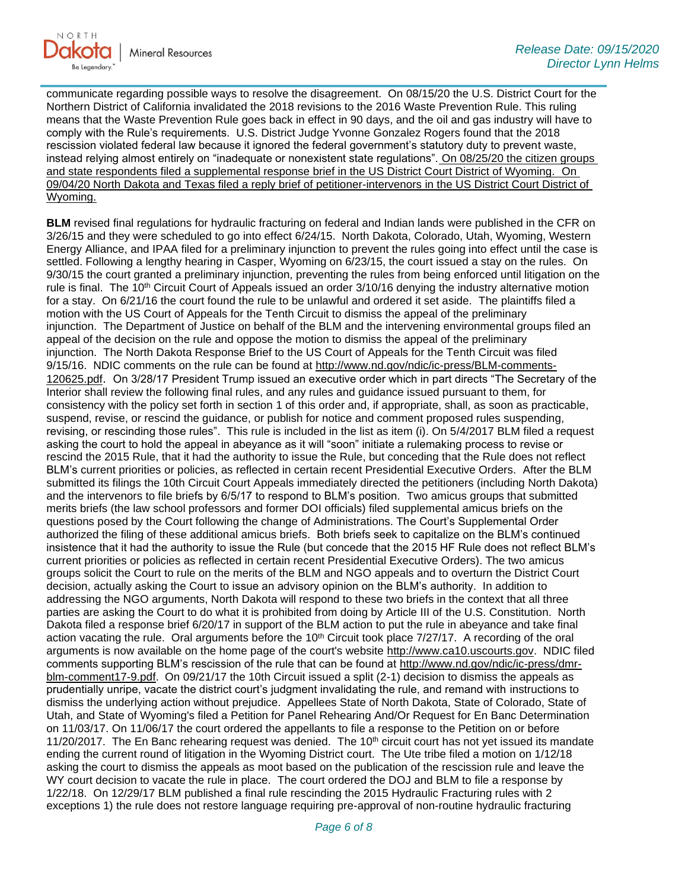

communicate regarding possible ways to resolve the disagreement. On 08/15/20 the U.S. District Court for the Northern District of California invalidated the 2018 revisions to the 2016 Waste Prevention Rule. This ruling means that the Waste Prevention Rule goes back in effect in 90 days, and the oil and gas industry will have to comply with the Rule's requirements. U.S. District Judge Yvonne Gonzalez Rogers found that the 2018 rescission violated federal law because it ignored the federal government's statutory duty to prevent waste, instead relying almost entirely on "inadequate or nonexistent state regulations". On 08/25/20 the citizen groups and state respondents filed a supplemental response brief in the US District Court District of Wyoming. On 09/04/20 North Dakota and Texas filed a reply brief of petitioner-intervenors in the US District Court District of Wyoming.

**BLM** revised final regulations for hydraulic fracturing on federal and Indian lands were published in the CFR on 3/26/15 and they were scheduled to go into effect 6/24/15. North Dakota, Colorado, Utah, Wyoming, Western Energy Alliance, and IPAA filed for a preliminary injunction to prevent the rules going into effect until the case is settled. Following a lengthy hearing in Casper, Wyoming on 6/23/15, the court issued a stay on the rules. On 9/30/15 the court granted a preliminary injunction, preventing the rules from being enforced until litigation on the rule is final. The 10<sup>th</sup> Circuit Court of Appeals issued an order  $3/10/16$  denying the industry alternative motion for a stay. On 6/21/16 the court found the rule to be unlawful and ordered it set aside. The plaintiffs filed a motion with the US Court of Appeals for the Tenth Circuit to dismiss the appeal of the preliminary injunction. The Department of Justice on behalf of the BLM and the intervening environmental groups filed an appeal of the decision on the rule and oppose the motion to dismiss the appeal of the preliminary injunction. The North Dakota Response Brief to the US Court of Appeals for the Tenth Circuit was filed 9/15/16. NDIC comments on the rule can be found at [http://www.nd.gov/ndic/ic-press/BLM-comments-](http://www.nd.gov/ndic/ic-press/BLM-comments-120625.pdf)[120625.pdf](http://www.nd.gov/ndic/ic-press/BLM-comments-120625.pdf). On 3/28/17 President Trump issued an executive order which in part directs "The Secretary of the Interior shall review the following final rules, and any rules and guidance issued pursuant to them, for consistency with the policy set forth in section 1 of this order and, if appropriate, shall, as soon as practicable, suspend, revise, or rescind the guidance, or publish for notice and comment proposed rules suspending, revising, or rescinding those rules". This rule is included in the list as item (i). On 5/4/2017 BLM filed a request asking the court to hold the appeal in abeyance as it will "soon" initiate a rulemaking process to revise or rescind the 2015 Rule, that it had the authority to issue the Rule, but conceding that the Rule does not reflect BLM's current priorities or policies, as reflected in certain recent Presidential Executive Orders. After the BLM submitted its filings the 10th Circuit Court Appeals immediately directed the petitioners (including North Dakota) and the intervenors to file briefs by 6/5/17 to respond to BLM's position. Two amicus groups that submitted merits briefs (the law school professors and former DOI officials) filed supplemental amicus briefs on the questions posed by the Court following the change of Administrations. The Court's Supplemental Order authorized the filing of these additional amicus briefs. Both briefs seek to capitalize on the BLM's continued insistence that it had the authority to issue the Rule (but concede that the 2015 HF Rule does not reflect BLM's current priorities or policies as reflected in certain recent Presidential Executive Orders). The two amicus groups solicit the Court to rule on the merits of the BLM and NGO appeals and to overturn the District Court decision, actually asking the Court to issue an advisory opinion on the BLM's authority. In addition to addressing the NGO arguments, North Dakota will respond to these two briefs in the context that all three parties are asking the Court to do what it is prohibited from doing by Article III of the U.S. Constitution. North Dakota filed a response brief 6/20/17 in support of the BLM action to put the rule in abeyance and take final action vacating the rule. Oral arguments before the  $10<sup>th</sup>$  Circuit took place  $7/27/17$ . A recording of the oral arguments is now available on the home page of the court's website [http://www.ca10.uscourts.gov.](https://gcc02.safelinks.protection.outlook.com/?url=https%3A%2F%2Furldefense.proofpoint.com%2Fv2%2Furl%3Fu%3Dhttp-3A__www.ca10.uscourts.gov%26d%3DDwMGaQ%26c%3D2s2mvbfY0UoSKkl6_Ol9wg%26r%3D-wqsZnBxny594KY8HeElow%26m%3DUl_VtJUX6iW5pvHjCcBxUWtskC0F4Dhry3sPtcEHvCw%26s%3DlaRHiLDv5w8otcQWQjpn82WMieoB2AZ-Q4M1LFQPL5s%26e%3D&data=02%7C01%7Ckahaarsager%40nd.gov%7C87b7e18408bc47c3a9c008d85986e4d7%7C2dea0464da514a88bae2b3db94bc0c54%7C0%7C0%7C637357783185071164&sdata=Ohtn4%2BmPY0PzZc%2Bx3Dmjtcuc3VjPCFh6W5vDOEUsnck%3D&reserved=0) NDIC filed comments supporting BLM's rescission of the rule that can be found at [http://www.nd.gov/ndic/ic-press/dmr](http://www.nd.gov/ndic/ic-press/dmr-blm-comment17-9.pdf)[blm-comment17-9.pdf.](http://www.nd.gov/ndic/ic-press/dmr-blm-comment17-9.pdf) On 09/21/17 the 10th Circuit issued a split (2-1) decision to dismiss the appeals as prudentially unripe, vacate the district court's judgment invalidating the rule, and remand with instructions to dismiss the underlying action without prejudice. Appellees State of North Dakota, State of Colorado, State of Utah, and State of Wyoming's filed a Petition for Panel Rehearing And/Or Request for En Banc Determination on 11/03/17. On 11/06/17 the court ordered the appellants to file a response to the Petition on or before 11/20/2017. The En Banc rehearing request was denied. The 10<sup>th</sup> circuit court has not yet issued its mandate ending the current round of litigation in the Wyoming District court. The Ute tribe filed a motion on 1/12/18 asking the court to dismiss the appeals as moot based on the publication of the rescission rule and leave the WY court decision to vacate the rule in place. The court ordered the DOJ and BLM to file a response by 1/22/18. On 12/29/17 BLM published a final rule rescinding the 2015 Hydraulic Fracturing rules with 2 exceptions 1) the rule does not restore language requiring pre-approval of non-routine hydraulic fracturing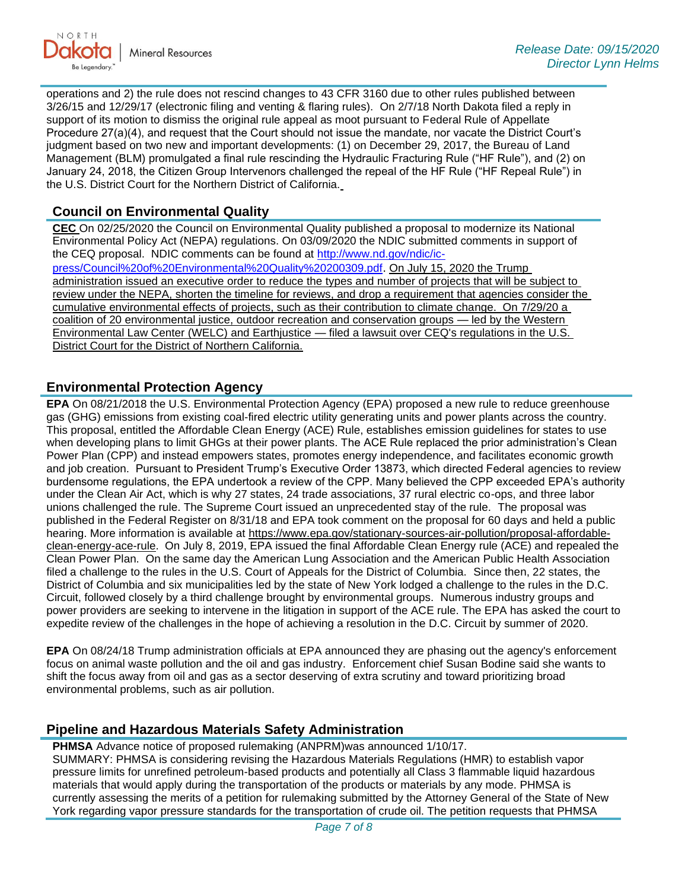

operations and 2) the rule does not rescind changes to 43 CFR 3160 due to other rules published between 3/26/15 and 12/29/17 (electronic filing and venting & flaring rules). On 2/7/18 North Dakota filed a reply in support of its motion to dismiss the original rule appeal as moot pursuant to Federal Rule of Appellate Procedure 27(a)(4), and request that the Court should not issue the mandate, nor vacate the District Court's judgment based on two new and important developments: (1) on December 29, 2017, the Bureau of Land Management (BLM) promulgated a final rule rescinding the Hydraulic Fracturing Rule ("HF Rule"), and (2) on January 24, 2018, the Citizen Group Intervenors challenged the repeal of the HF Rule ("HF Repeal Rule") in the U.S. District Court for the Northern District of California.

#### **Council on Environmental Quality**

**CEC** On 02/25/2020 the Council on Environmental Quality published a proposal to modernize its National Environmental Policy Act (NEPA) regulations. On 03/09/2020 the NDIC submitted comments in support of the CEQ proposal. NDIC comments can be found at [http://www.nd.gov/ndic/ic](http://www.nd.gov/ndic/ic-press/Council%20of%20Environmental%20Quality%20200309.pdf)[press/Council%20of%20Environmental%20Quality%20200309.pdf](http://www.nd.gov/ndic/ic-press/Council%20of%20Environmental%20Quality%20200309.pdf). On July 15, 2020 the Trump administration issued an executive order to reduce the types and number of projects that will be subject to

review under the NEPA, shorten the timeline for reviews, and drop a requirement that agencies consider the cumulative environmental effects of projects, such as their contribution to climate change. On 7/29/20 a coalition of 20 environmental justice, outdoor recreation and conservation groups — led by the Western Environmental Law Center (WELC) and Earthjustice — filed a lawsuit over CEQ's regulations in the U.S. District Court for the District of Northern California.

#### **Environmental Protection Agency**

**EPA** On 08/21/2018 the U.S. Environmental Protection Agency (EPA) proposed a new rule to reduce greenhouse gas (GHG) emissions from existing coal-fired electric utility generating units and power plants across the country. This proposal, entitled the Affordable Clean Energy (ACE) Rule, establishes emission guidelines for states to use when developing plans to limit GHGs at their power plants. The ACE Rule replaced the prior administration's Clean Power Plan (CPP) and instead empowers states, promotes energy independence, and facilitates economic growth and job creation. Pursuant to President Trump's Executive Order 13873, which directed Federal agencies to review burdensome regulations, the EPA undertook a review of the CPP. Many believed the CPP exceeded EPA's authority under the Clean Air Act, which is why 27 states, 24 trade associations, 37 rural electric co-ops, and three labor unions challenged the rule. The Supreme Court issued an unprecedented stay of the rule. The proposal was published in the Federal Register on 8/31/18 and EPA took comment on the proposal for 60 days and held a public hearing. More information is available at [https://www.epa.gov/stationary-sources-air-pollution/proposal-affordable](https://gcc02.safelinks.protection.outlook.com/?url=https%3A%2F%2Fwww.epa.gov%2Fstationary-sources-air-pollution%2Fproposal-affordable-clean-energy-ace-rule&data=02%7C01%7Ckahaarsager%40nd.gov%7C87b7e18408bc47c3a9c008d85986e4d7%7C2dea0464da514a88bae2b3db94bc0c54%7C0%7C0%7C637357783185071164&sdata=FbNNJ9OoCvr%2FA%2FIDMH2zG70m0sEoYaa4YZR3Anr8sC8%3D&reserved=0)[clean-energy-ace-rule.](https://gcc02.safelinks.protection.outlook.com/?url=https%3A%2F%2Fwww.epa.gov%2Fstationary-sources-air-pollution%2Fproposal-affordable-clean-energy-ace-rule&data=02%7C01%7Ckahaarsager%40nd.gov%7C87b7e18408bc47c3a9c008d85986e4d7%7C2dea0464da514a88bae2b3db94bc0c54%7C0%7C0%7C637357783185071164&sdata=FbNNJ9OoCvr%2FA%2FIDMH2zG70m0sEoYaa4YZR3Anr8sC8%3D&reserved=0) On July 8, 2019, EPA issued the final Affordable Clean Energy rule (ACE) and repealed the Clean Power Plan. On the same day the American Lung Association and the American Public Health Association filed a challenge to the rules in the U.S. Court of Appeals for the District of Columbia. Since then, 22 states, the District of Columbia and six municipalities led by the state of New York lodged a challenge to the rules in the D.C. Circuit, followed closely by a third challenge brought by environmental groups. Numerous industry groups and power providers are seeking to intervene in the litigation in support of the ACE rule. The EPA has asked the court to expedite review of the challenges in the hope of achieving a resolution in the D.C. Circuit by summer of 2020.

**EPA** On 08/24/18 Trump administration officials at EPA announced they are phasing out the agency's enforcement focus on animal waste pollution and the oil and gas industry. Enforcement chief Susan Bodine said she wants to shift the focus away from oil and gas as a sector deserving of extra scrutiny and toward prioritizing broad environmental problems, such as air pollution.

#### **Pipeline and Hazardous Materials Safety Administration**

**PHMSA** Advance notice of proposed rulemaking (ANPRM)was announced 1/10/17. SUMMARY: PHMSA is considering revising the Hazardous Materials Regulations (HMR) to establish vapor pressure limits for unrefined petroleum-based products and potentially all Class 3 flammable liquid hazardous materials that would apply during the transportation of the products or materials by any mode. PHMSA is currently assessing the merits of a petition for rulemaking submitted by the Attorney General of the State of New York regarding vapor pressure standards for the transportation of crude oil. The petition requests that PHMSA